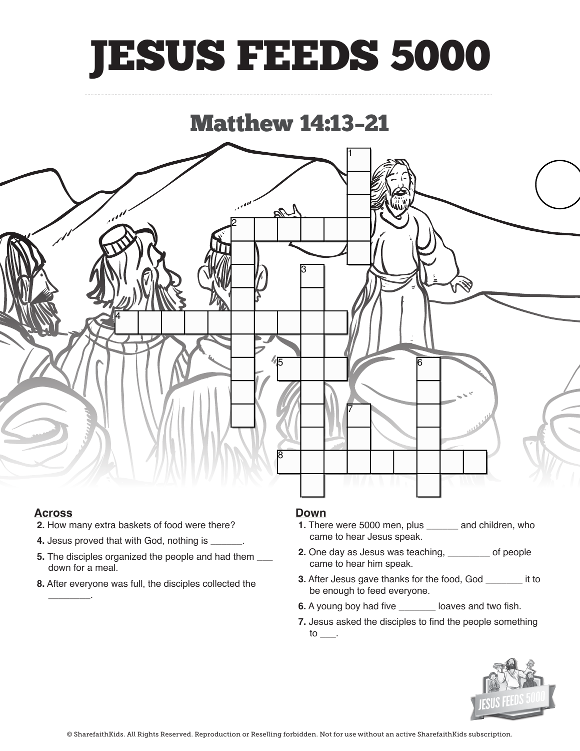## JESUS FEEDS 5000

### Matthew 14:13–21



### **Across**

**\_\_\_\_\_\_\_\_**.

(Sit) down for a meal.

- **2.** How many extra baskets of food were there? **Across**
	- **4.** Jesus proved that with God, nothing is \_\_\_\_\_\_.
	- **5.** The disciples organized the people and had them  $\_\_$ down for a meal.
	- **8.** After everyone was full, the disciples collected the

#### **Down**

- **1.** There were 5000 men, plus **\_\_\_\_\_\_** and children, who **Down 1.** There is one of the speak.
- **2.** One day as Jesus was teaching, **where**  $\sum$  of people came to hear him speak.
- **3.** After Jesus gave thanks for the food, God **\_\_\_\_\_\_** it to be enough to feed everyone.<br>**3.** After the foods of the food of the food of the food of the food of the food of the food of the food of the f
- **6.** A young boy had five \_\_\_\_\_\_\_ loaves and two fish.
- **7.** Jesus asked the disciples to find the people something  $\mathsf{to}$ . **7.** Jesus asked the disciples to find the people